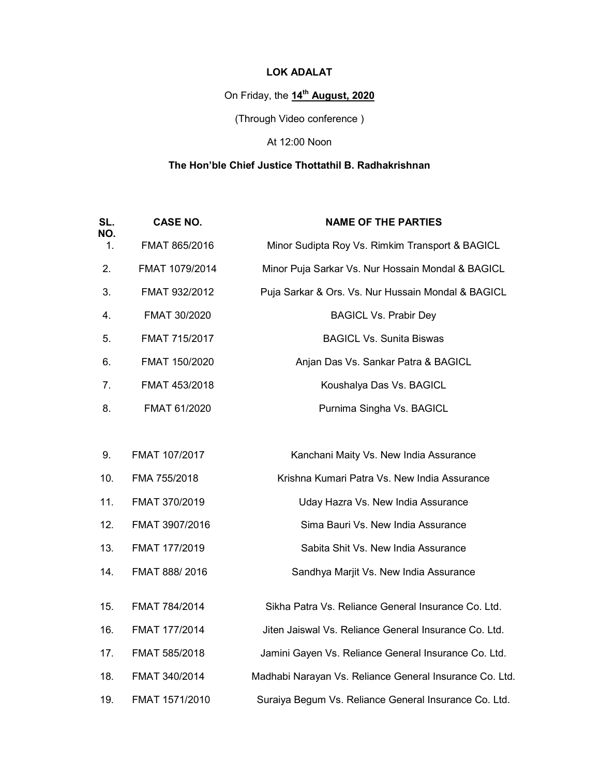# LOK ADALAT

# On Friday, the 14<sup>th</sup> August, 2020

(Through Video conference )

## At 12:00 Noon

# The Hon'ble Chief Justice Thottathil B. Radhakrishnan

| SL.<br>NO. | <b>CASE NO.</b> | <b>NAME OF THE PARTIES</b>                              |
|------------|-----------------|---------------------------------------------------------|
| 1.         | FMAT 865/2016   | Minor Sudipta Roy Vs. Rimkim Transport & BAGICL         |
| 2.         | FMAT 1079/2014  | Minor Puja Sarkar Vs. Nur Hossain Mondal & BAGICL       |
| 3.         | FMAT 932/2012   | Puja Sarkar & Ors. Vs. Nur Hussain Mondal & BAGICL      |
| 4.         | FMAT 30/2020    | <b>BAGICL Vs. Prabir Dey</b>                            |
| 5.         | FMAT 715/2017   | <b>BAGICL Vs. Sunita Biswas</b>                         |
| 6.         | FMAT 150/2020   | Anjan Das Vs. Sankar Patra & BAGICL                     |
| 7.         | FMAT 453/2018   | Koushalya Das Vs. BAGICL                                |
| 8.         | FMAT 61/2020    | Purnima Singha Vs. BAGICL                               |
|            |                 |                                                         |
| 9.         | FMAT 107/2017   | Kanchani Maity Vs. New India Assurance                  |
| 10.        | FMA 755/2018    | Krishna Kumari Patra Vs. New India Assurance            |
| 11.        | FMAT 370/2019   | Uday Hazra Vs. New India Assurance                      |
| 12.        | FMAT 3907/2016  | Sima Bauri Vs. New India Assurance                      |
| 13.        | FMAT 177/2019   | Sabita Shit Vs. New India Assurance                     |
| 14.        | FMAT 888/2016   | Sandhya Marjit Vs. New India Assurance                  |
| 15.        | FMAT 784/2014   | Sikha Patra Vs. Reliance General Insurance Co. Ltd.     |
|            |                 |                                                         |
| 16.        | FMAT 177/2014   | Jiten Jaiswal Vs. Reliance General Insurance Co. Ltd.   |
| 17.        | FMAT 585/2018   | Jamini Gayen Vs. Reliance General Insurance Co. Ltd.    |
| 18.        | FMAT 340/2014   | Madhabi Narayan Vs. Reliance General Insurance Co. Ltd. |
| 19.        | FMAT 1571/2010  | Suraiya Begum Vs. Reliance General Insurance Co. Ltd.   |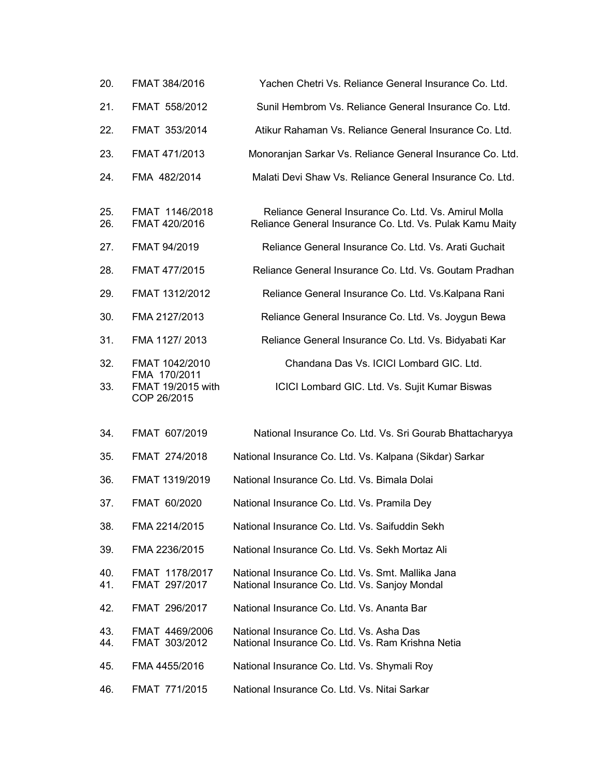| 20.        | FMAT 384/2016                                                      | Yachen Chetri Vs. Reliance General Insurance Co. Ltd.                                                            |
|------------|--------------------------------------------------------------------|------------------------------------------------------------------------------------------------------------------|
| 21.        | FMAT 558/2012                                                      | Sunil Hembrom Vs. Reliance General Insurance Co. Ltd.                                                            |
| 22.        | FMAT 353/2014                                                      | Atikur Rahaman Vs. Reliance General Insurance Co. Ltd.                                                           |
| 23.        | FMAT 471/2013                                                      | Monoranjan Sarkar Vs. Reliance General Insurance Co. Ltd.                                                        |
| 24.        | FMA 482/2014                                                       | Malati Devi Shaw Vs. Reliance General Insurance Co. Ltd.                                                         |
| 25.<br>26. | FMAT 1146/2018<br>FMAT 420/2016                                    | Reliance General Insurance Co. Ltd. Vs. Amirul Molla<br>Reliance General Insurance Co. Ltd. Vs. Pulak Kamu Maity |
| 27.        | FMAT 94/2019                                                       | Reliance General Insurance Co. Ltd. Vs. Arati Guchait                                                            |
| 28.        | FMAT 477/2015                                                      | Reliance General Insurance Co. Ltd. Vs. Goutam Pradhan                                                           |
| 29.        | FMAT 1312/2012                                                     | Reliance General Insurance Co. Ltd. Vs. Kalpana Rani                                                             |
| 30.        | FMA 2127/2013                                                      | Reliance General Insurance Co. Ltd. Vs. Joygun Bewa                                                              |
| 31.        | FMA 1127/2013                                                      | Reliance General Insurance Co. Ltd. Vs. Bidyabati Kar                                                            |
| 32.<br>33. | FMAT 1042/2010<br>FMA 170/2011<br>FMAT 19/2015 with<br>COP 26/2015 | Chandana Das Vs. ICICI Lombard GIC. Ltd.<br>ICICI Lombard GIC. Ltd. Vs. Sujit Kumar Biswas                       |
| 34.        | FMAT 607/2019                                                      | National Insurance Co. Ltd. Vs. Sri Gourab Bhattacharyya                                                         |
| 35.        | FMAT 274/2018                                                      | National Insurance Co. Ltd. Vs. Kalpana (Sikdar) Sarkar                                                          |
| 36.        | FMAT 1319/2019                                                     | National Insurance Co. Ltd. Vs. Bimala Dolai                                                                     |
| 37.        | FMAT 60/2020                                                       | National Insurance Co. Ltd. Vs. Pramila Dey                                                                      |
| 38.        | FMA 2214/2015                                                      | National Insurance Co. Ltd. Vs. Saifuddin Sekh                                                                   |
| 39.        | FMA 2236/2015                                                      | National Insurance Co. Ltd. Vs. Sekh Mortaz Ali                                                                  |
| 40.<br>41. | FMAT 1178/2017<br>FMAT 297/2017                                    | National Insurance Co. Ltd. Vs. Smt. Mallika Jana<br>National Insurance Co. Ltd. Vs. Sanjoy Mondal               |
| 42.        | FMAT 296/2017                                                      | National Insurance Co. Ltd. Vs. Ananta Bar                                                                       |
| 43.<br>44. | FMAT 4469/2006<br>FMAT 303/2012                                    | National Insurance Co. Ltd. Vs. Asha Das<br>National Insurance Co. Ltd. Vs. Ram Krishna Netia                    |
| 45.        | FMA 4455/2016                                                      | National Insurance Co. Ltd. Vs. Shymali Roy                                                                      |
| 46.        | FMAT 771/2015                                                      | National Insurance Co. Ltd. Vs. Nitai Sarkar                                                                     |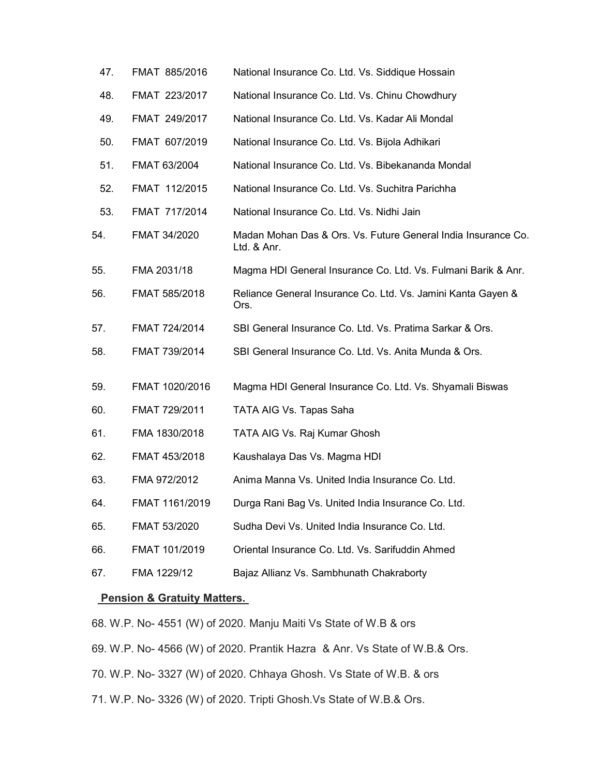| 47. | FMAT 885/2016  | National Insurance Co. Ltd. Vs. Siddique Hossain                             |
|-----|----------------|------------------------------------------------------------------------------|
| 48. | FMAT 223/2017  | National Insurance Co. Ltd. Vs. Chinu Chowdhury                              |
| 49. | FMAT 249/2017  | National Insurance Co. Ltd. Vs. Kadar Ali Mondal                             |
| 50. | FMAT 607/2019  | National Insurance Co. Ltd. Vs. Bijola Adhikari                              |
| 51. | FMAT 63/2004   | National Insurance Co. Ltd. Vs. Bibekananda Mondal                           |
| 52. | FMAT 112/2015  | National Insurance Co. Ltd. Vs. Suchitra Parichha                            |
| 53. | FMAT 717/2014  | National Insurance Co. Ltd. Vs. Nidhi Jain                                   |
| 54. | FMAT 34/2020   | Madan Mohan Das & Ors. Vs. Future General India Insurance Co.<br>Ltd. & Anr. |
| 55. | FMA 2031/18    | Magma HDI General Insurance Co. Ltd. Vs. Fulmani Barik & Anr.                |
| 56. | FMAT 585/2018  | Reliance General Insurance Co. Ltd. Vs. Jamini Kanta Gayen &<br>Ors.         |
| 57. | FMAT 724/2014  | SBI General Insurance Co. Ltd. Vs. Pratima Sarkar & Ors.                     |
| 58. | FMAT 739/2014  | SBI General Insurance Co. Ltd. Vs. Anita Munda & Ors.                        |
| 59. | FMAT 1020/2016 | Magma HDI General Insurance Co. Ltd. Vs. Shyamali Biswas                     |
| 60. | FMAT 729/2011  | TATA AIG Vs. Tapas Saha                                                      |
| 61. | FMA 1830/2018  | TATA AIG Vs. Raj Kumar Ghosh                                                 |
| 62. | FMAT 453/2018  | Kaushalaya Das Vs. Magma HDI                                                 |
| 63. | FMA 972/2012   | Anima Manna Vs. United India Insurance Co. Ltd.                              |
| 64. | FMAT 1161/2019 | Durga Rani Bag Vs. United India Insurance Co. Ltd.                           |
| 65. | FMAT 53/2020   | Sudha Devi Vs. United India Insurance Co. Ltd.                               |
| 66. | FMAT 101/2019  | Oriental Insurance Co. Ltd. Vs. Sarifuddin Ahmed                             |
| 67. | FMA 1229/12    | Bajaz Allianz Vs. Sambhunath Chakraborty                                     |
|     |                |                                                                              |

## Pension & Gratuity Matters.

68. W.P. No- 4551 (W) of 2020. Manju Maiti Vs State of W.B & ors

69. W.P. No- 4566 (W) of 2020. Prantik Hazra & Anr. Vs State of W.B.& Ors.

70. W.P. No- 3327 (W) of 2020. Chhaya Ghosh. Vs State of W.B. & ors

71. W.P. No- 3326 (W) of 2020. Tripti Ghosh.Vs State of W.B.& Ors.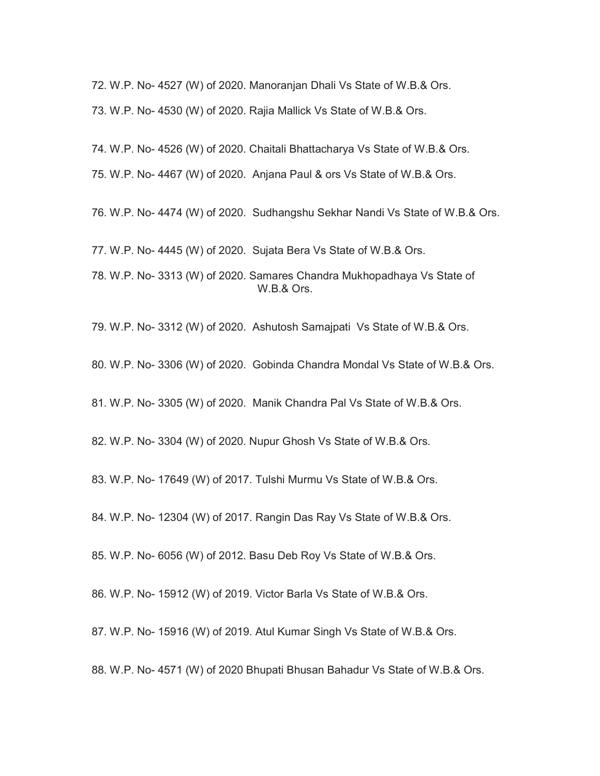72. W.P. No- 4527 (W) of 2020. Manoranjan Dhali Vs State of W.B.& Ors. 73. W.P. No- 4530 (W) of 2020. Rajia Mallick Vs State of W.B.& Ors.

74. W.P. No- 4526 (W) of 2020. Chaitali Bhattacharya Vs State of W.B.& Ors.

75. W.P. No- 4467 (W) of 2020. Anjana Paul & ors Vs State of W.B.& Ors.

76. W.P. No- 4474 (W) of 2020. Sudhangshu Sekhar Nandi Vs State of W.B.& Ors.

77. W.P. No- 4445 (W) of 2020. Sujata Bera Vs State of W.B.& Ors.

78. W.P. No- 3313 (W) of 2020. Samares Chandra Mukhopadhaya Vs State of W.B.& Ors.

79. W.P. No- 3312 (W) of 2020. Ashutosh Samajpati Vs State of W.B.& Ors.

80. W.P. No- 3306 (W) of 2020. Gobinda Chandra Mondal Vs State of W.B.& Ors.

81. W.P. No- 3305 (W) of 2020. Manik Chandra Pal Vs State of W.B.& Ors.

82. W.P. No- 3304 (W) of 2020. Nupur Ghosh Vs State of W.B.& Ors.

83. W.P. No- 17649 (W) of 2017. Tulshi Murmu Vs State of W.B.& Ors.

84. W.P. No- 12304 (W) of 2017. Rangin Das Ray Vs State of W.B.& Ors.

85. W.P. No- 6056 (W) of 2012. Basu Deb Roy Vs State of W.B.& Ors.

86. W.P. No- 15912 (W) of 2019. Victor Barla Vs State of W.B.& Ors.

87. W.P. No- 15916 (W) of 2019. Atul Kumar Singh Vs State of W.B.& Ors.

88. W.P. No- 4571 (W) of 2020 Bhupati Bhusan Bahadur Vs State of W.B.& Ors.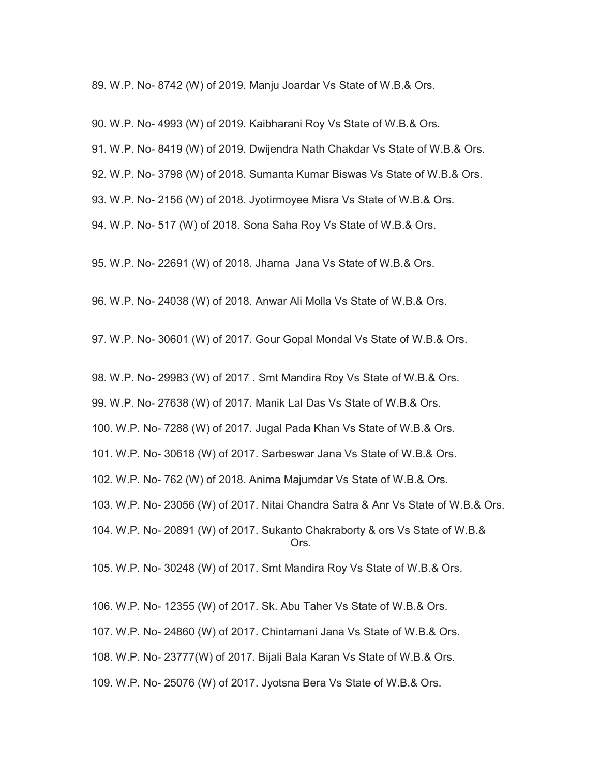89. W.P. No- 8742 (W) of 2019. Manju Joardar Vs State of W.B.& Ors.

90. W.P. No- 4993 (W) of 2019. Kaibharani Roy Vs State of W.B.& Ors.

91. W.P. No- 8419 (W) of 2019. Dwijendra Nath Chakdar Vs State of W.B.& Ors.

92. W.P. No- 3798 (W) of 2018. Sumanta Kumar Biswas Vs State of W.B.& Ors.

93. W.P. No- 2156 (W) of 2018. Jyotirmoyee Misra Vs State of W.B.& Ors.

94. W.P. No- 517 (W) of 2018. Sona Saha Roy Vs State of W.B.& Ors.

95. W.P. No- 22691 (W) of 2018. Jharna Jana Vs State of W.B.& Ors.

96. W.P. No- 24038 (W) of 2018. Anwar Ali Molla Vs State of W.B.& Ors.

97. W.P. No- 30601 (W) of 2017. Gour Gopal Mondal Vs State of W.B.& Ors.

98. W.P. No- 29983 (W) of 2017 . Smt Mandira Roy Vs State of W.B.& Ors.

99. W.P. No- 27638 (W) of 2017. Manik Lal Das Vs State of W.B.& Ors.

100. W.P. No- 7288 (W) of 2017. Jugal Pada Khan Vs State of W.B.& Ors.

101. W.P. No- 30618 (W) of 2017. Sarbeswar Jana Vs State of W.B.& Ors.

102. W.P. No- 762 (W) of 2018. Anima Majumdar Vs State of W.B.& Ors.

103. W.P. No- 23056 (W) of 2017. Nitai Chandra Satra & Anr Vs State of W.B.& Ors.

104. W.P. No- 20891 (W) of 2017. Sukanto Chakraborty & ors Vs State of W.B.& **Canadian Contract Contract Ors.** 

105. W.P. No- 30248 (W) of 2017. Smt Mandira Roy Vs State of W.B.& Ors.

106. W.P. No- 12355 (W) of 2017. Sk. Abu Taher Vs State of W.B.& Ors.

107. W.P. No- 24860 (W) of 2017. Chintamani Jana Vs State of W.B.& Ors.

108. W.P. No- 23777(W) of 2017. Bijali Bala Karan Vs State of W.B.& Ors.

109. W.P. No- 25076 (W) of 2017. Jyotsna Bera Vs State of W.B.& Ors.